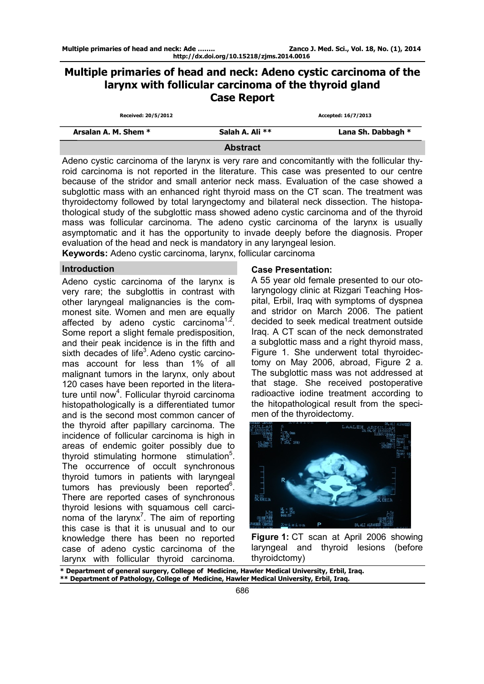# **Multiple primaries of head and neck: Adeno cystic carcinoma of the larynx with follicular carcinoma of the thyroid gland Case Report**

| Received: 20/5/2012  |                 | Accepted: 16/7/2013 |
|----------------------|-----------------|---------------------|
| Arsalan A. M. Shem * | Salah A. Ali ** | Lana Sh. Dabbagh *  |
|                      | <b>Abotroot</b> |                     |

**Abstract** 

Adeno cystic carcinoma of the larynx is very rare and concomitantly with the follicular thyroid carcinoma is not reported in the literature. This case was presented to our centre because of the stridor and small anterior neck mass. Evaluation of the case showed a subglottic mass with an enhanced right thyroid mass on the CT scan. The treatment was thyroidectomy followed by total laryngectomy and bilateral neck dissection. The histopathological study of the subglottic mass showed adeno cystic carcinoma and of the thyroid mass was follicular carcinoma. The adeno cystic carcinoma of the larynx is usually asymptomatic and it has the opportunity to invade deeply before the diagnosis. Proper evaluation of the head and neck is mandatory in any laryngeal lesion. **Keywords:** Adeno cystic carcinoma, larynx, follicular carcinoma

# **Introduction**

Adeno cystic carcinoma of the larynx is very rare; the subglottis in contrast with other laryngeal malignancies is the commonest site. Women and men are equally affected by adeno cystic carcinoma<sup>1,2</sup>. Some report a slight female predisposition, and their peak incidence is in the fifth and sixth decades of life<sup>3</sup>. Adeno cystic carcinomas account for less than 1% of all malignant tumors in the larynx, only about 120 cases have been reported in the literature until now<sup>4</sup>. Follicular thyroid carcinoma histopathologically is a differentiated tumor and is the second most common cancer of the thyroid after papillary carcinoma. The incidence of follicular carcinoma is high in areas of endemic goiter possibly due to thyroid stimulating hormone stimulation<sup>5</sup>. The occurrence of occult synchronous thyroid tumors in patients with laryngeal tumors has previously been reported<sup>6</sup>. There are reported cases of synchronous thyroid lesions with squamous cell carcinoma of the larynx<sup>7</sup>. The aim of reporting this case is that it is unusual and to our knowledge there has been no reported case of adeno cystic carcinoma of the larynx with follicular thyroid carcinoma.

# **Case Presentation:**

A 55 year old female presented to our otolaryngology clinic at Rizgari Teaching Hospital, Erbil, Iraq with symptoms of dyspnea and stridor on March 2006. The patient decided to seek medical treatment outside Iraq. A CT scan of the neck demonstrated a subglottic mass and a right thyroid mass, Figure 1. She underwent total thyroidectomy on May 2006, abroad, Figure 2 a. The subglottic mass was not addressed at that stage. She received postoperative radioactive iodine treatment according to the hitopathological result from the specimen of the thyroidectomy.



**Figure 1:** CT scan at April 2006 showing laryngeal and thyroid lesions (before thyroidctomy)

**\* Department of general surgery, College of Medicine, Hawler Medical University, Erbil, Iraq. \*\* Department of Pathology, College of Medicine, Hawler Medical University, Erbil, Iraq.**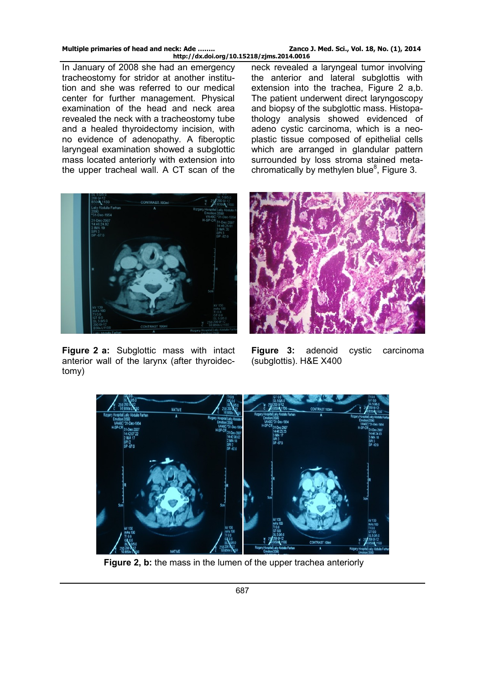In January of 2008 she had an emergency tracheostomy for stridor at another institution and she was referred to our medical center for further management. Physical examination of the head and neck area revealed the neck with a tracheostomy tube and a healed thyroidectomy incision, with no evidence of adenopathy. A fiberoptic laryngeal examination showed a subglottic mass located anteriorly with extension into the upper tracheal wall. A CT scan of the

neck revealed a laryngeal tumor involving the anterior and lateral subglottis with extension into the trachea, Figure 2 a,b. The patient underwent direct laryngoscopy and biopsy of the subglottic mass. Histopathology analysis showed evidenced of adeno cystic carcinoma, which is a neoplastic tissue composed of epithelial cells which are arranged in glandular pattern surrounded by loss stroma stained metachromatically by methylen blue<sup>8</sup>, Figure 3.



**Figure 2 a:** Subglottic mass with intact anterior wall of the larynx (after thyroidectomy)



**Figure 3:** adenoid cystic carcinoma (subglottis). H&E X400



**Figure 2, b:** the mass in the lumen of the upper trachea anteriorly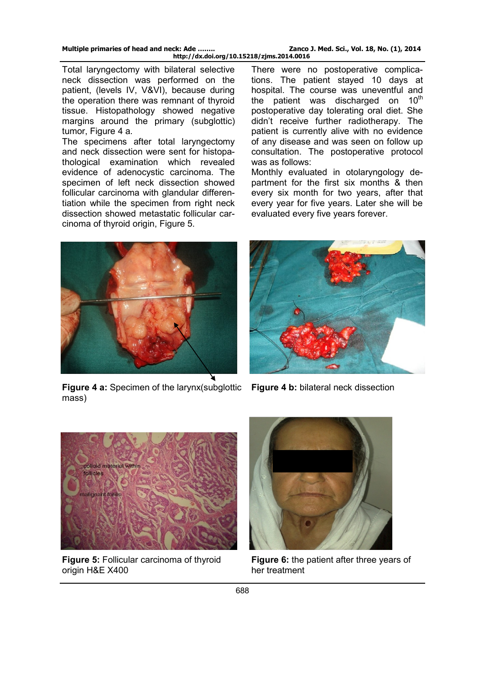Total laryngectomy with bilateral selective neck dissection was performed on the patient, (levels IV, V&VI), because during the operation there was remnant of thyroid tissue. Histopathology showed negative margins around the primary (subglottic) tumor, Figure 4 a.

The specimens after total laryngectomy and neck dissection were sent for histopathological examination which revealed evidence of adenocystic carcinoma. The specimen of left neck dissection showed follicular carcinoma with glandular differentiation while the specimen from right neck dissection showed metastatic follicular carcinoma of thyroid origin, Figure 5.

There were no postoperative complications. The patient stayed 10 days at hospital. The course was uneventful and the patient was discharged on  $10<sup>th</sup>$ postoperative day tolerating oral diet. She didn't receive further radiotherapy. The patient is currently alive with no evidence of any disease and was seen on follow up consultation. The postoperative protocol was as follows:

Monthly evaluated in otolaryngology department for the first six months & then every six month for two years, after that every year for five years. Later she will be evaluated every five years forever.



**Figure 4 a:** Specimen of the larynx(subglottic **Figure 4 b:** bilateral neck dissection mass)





**Figure 5:** Follicular carcinoma of thyroid origin H&E X400



**Figure 6:** the patient after three years of her treatment